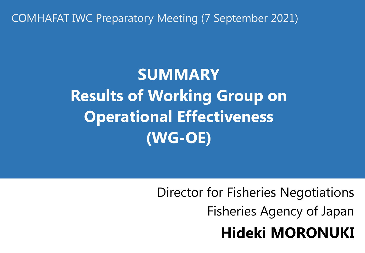COMHAFAT IWC Preparatory Meeting (7 September 2021)

**SUMMARY Results of Working Group on Operational Effectiveness (WG-OE)**

> Director for Fisheries Negotiations Fisheries Agency of Japan **Hideki MORONUKI**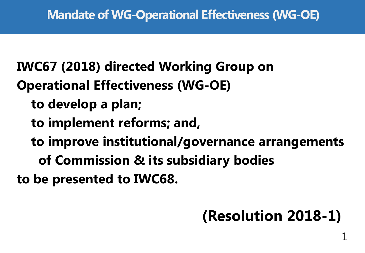**IWC67 (2018) directed Working Group on Operational Effectiveness (WG-OE)**

- **to develop a plan;**
- **to implement reforms; and,**
- **to improve institutional/governance arrangements** 
	- **of Commission & its subsidiary bodies**

**to be presented to IWC68.**

# **(Resolution 2018-1)**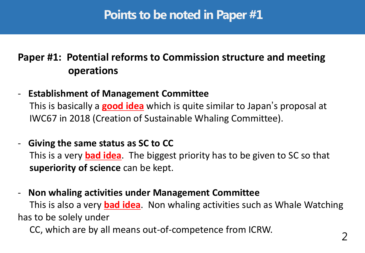## **Points to be noted in Paper #1**

## **Paper #1: Potential reforms to Commission structure and meeting operations**

- **Establishment of Management Committee**

 This is basically a **good idea** which is quite similar to Japan's proposal at IWC67 in 2018 (Creation of Sustainable Whaling Committee).

#### - **Giving the same status as SC to CC**

 This is a very **bad idea**. The biggest priority has to be given to SC so that **superiority of science** can be kept.

#### - **Non whaling activities under Management Committee**

 This is also a very **bad idea**. Non whaling activities such as Whale Watching has to be solely under

CC, which are by all means out-of-competence from ICRW.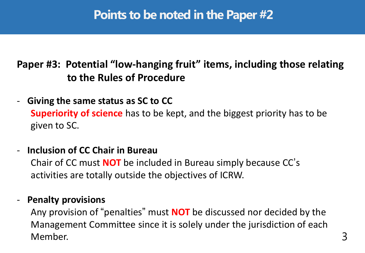## **Points to be noted in the Paper #2**

## **Paper #3: Potential "low-hanging fruit" items, including those relating to the Rules of Procedure**

- **Giving the same status as SC to CC Superiority of science** has to be kept, and the biggest priority has to be given to SC.
- **Inclusion of CC Chair in Bureau**

 Chair of CC must **NOT** be included in Bureau simply because CC' s activities are totally outside the objectives of ICRW.

#### - **Penalty provisions**

 Any provision of "penalties" must **NOT** be discussed nor decided by the Management Committee since it is solely under the jurisdiction of each Member. 3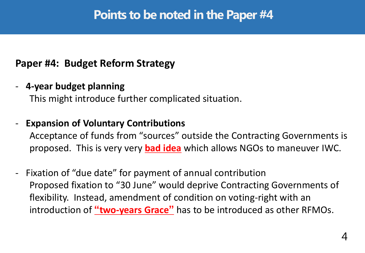## **Paper #4: Budget Reform Strategy**

- **4-year budget planning**

This might introduce further complicated situation.

- **Expansion of Voluntary Contributions**

 Acceptance of funds from "sources" outside the Contracting Governments is proposed. This is very very **bad idea** which allows NGOs to maneuver IWC.

- Fixation of "due date" for payment of annual contribution Proposed fixation to "30 June" would deprive Contracting Governments of flexibility. Instead, amendment of condition on voting-right with an introduction of **"two-years Grace"** has to be introduced as other RFMOs.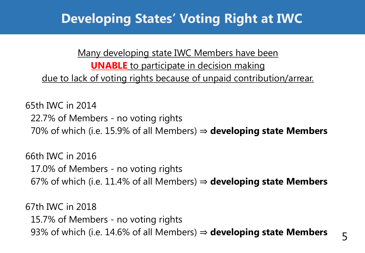# **Developing States' Voting Right at IWC**

Many developing state IWC Members have been **UNABLE** to participate in decision making due to lack of voting rights because of unpaid contribution/arrear.

65th IWC in 2014 22.7% of Members - no voting rights 70% of which (i.e. 15.9% of all Members) ⇒ **developing state Members**

66th IWC in 2016 17.0% of Members - no voting rights 67% of which (i.e. 11.4% of all Members) ⇒ **developing state Members**

67th IWC in 2018 15.7% of Members - no voting rights 93% of which (i.e. 14.6% of all Members) ⇒ **developing state Members**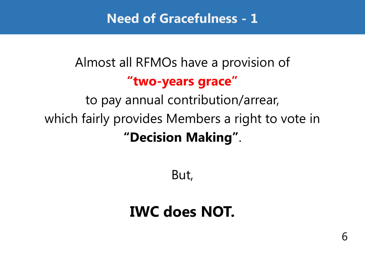**Need of Gracefulness - 1**

# Almost all RFMOs have a provision of **"two-years grace"**

to pay annual contribution/arrear, which fairly provides Members a right to vote in **"Decision Making"**.

But,

# **IWC does NOT.**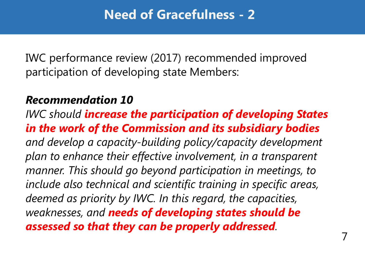IWC performance review (2017) recommended improved participation of developing state Members:

## *Recommendation 10*

*IWC should increase the participation of developing States in the work of the Commission and its subsidiary bodies and develop a capacity-building policy/capacity development plan to enhance their effective involvement, in a transparent manner. This should go beyond participation in meetings, to include also technical and scientific training in specific areas, deemed as priority by IWC. In this regard, the capacities, weaknesses, and needs of developing states should be assessed so that they can be properly addressed.*